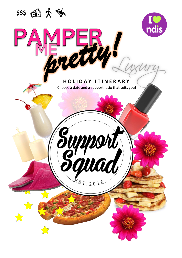